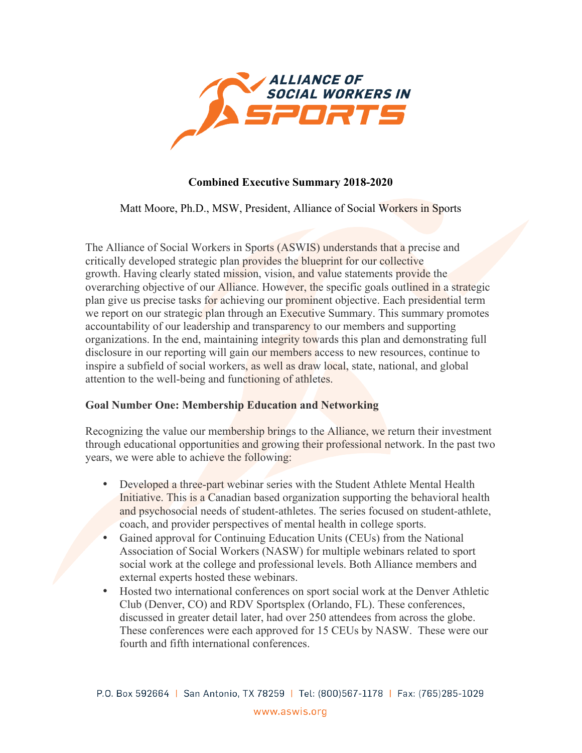

## **Combined Executive Summary 2018-2020**

Matt Moore, Ph.D., MSW, President, Alliance of Social Workers in Sports

The Alliance of Social Workers in Sports (ASWIS) understands that a precise and critically developed strategic plan provides the blueprint for our collective growth. Having clearly stated mission, vision, and value statements provide the overarching objective of our Alliance. However, the specific goals outlined in a strategic plan give us precise tasks for achieving our prominent objective. Each presidential term we report on our strategic plan through an Executive Summary. This summary promotes accountability of our leadership and transparency to our members and supporting organizations. In the end, maintaining integrity towards this plan and demonstrating full disclosure in our reporting will gain our members access to new resources, continue to inspire a subfield of social workers, as well as draw local, state, national, and global attention to the well-being and functioning of athletes.

## **Goal Number One: Membership Education and Networking**

Recognizing the value our membership brings to the Alliance, we return their investment through educational opportunities and growing their professional network. In the past two years, we were able to achieve the following:

- Developed a three-part webinar series with the Student Athlete Mental Health Initiative. This is a Canadian based organization supporting the behavioral health and psychosocial needs of student-athletes. The series focused on student-athlete, coach, and provider perspectives of mental health in college sports.
- Gained approval for Continuing Education Units (CEUs) from the National Association of Social Workers (NASW) for multiple webinars related to sport social work at the college and professional levels. Both Alliance members and external experts hosted these webinars.
- Hosted two international conferences on sport social work at the Denver Athletic Club (Denver, CO) and RDV Sportsplex (Orlando, FL). These conferences, discussed in greater detail later, had over 250 attendees from across the globe. These conferences were each approved for 15 CEUs by NASW. These were our fourth and fifth international conferences.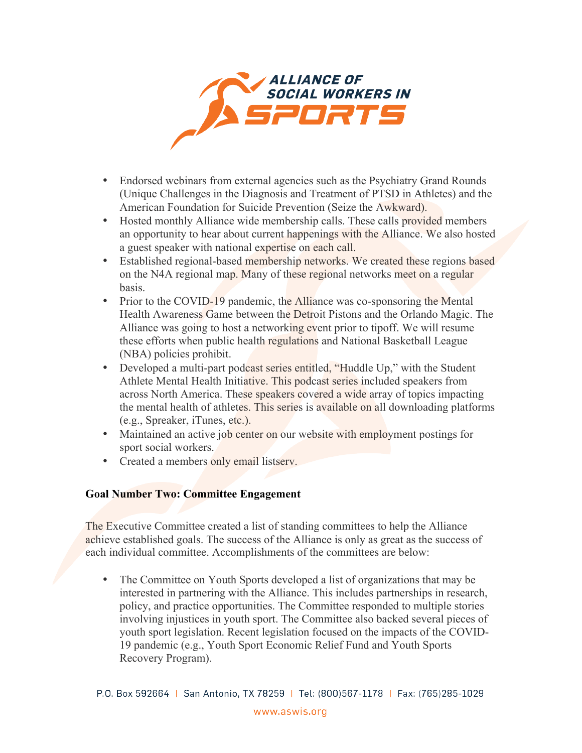

- Endorsed webinars from external agencies such as the Psychiatry Grand Rounds (Unique Challenges in the Diagnosis and Treatment of PTSD in Athletes) and the American Foundation for Suicide Prevention (Seize the Awkward).
- Hosted monthly Alliance wide membership calls. These calls provided members an opportunity to hear about current happenings with the Alliance. We also hosted a guest speaker with national expertise on each call.
- Established regional-based membership networks. We created these regions based on the N4A regional map. Many of these regional networks meet on a regular basis.
- Prior to the COVID-19 pandemic, the Alliance was co-sponsoring the Mental Health Awareness Game between the Detroit Pistons and the Orlando Magic. The Alliance was going to host a networking event prior to tipoff. We will resume these efforts when public health regulations and National Basketball League (NBA) policies prohibit.
- Developed a multi-part podcast series entitled, "Huddle Up," with the Student Athlete Mental Health Initiative. This podcast series included speakers from across North America. These speakers covered a wide array of topics impacting the mental health of athletes. This series is available on all downloading platforms (e.g., Spreaker, iTunes, etc.).
- Maintained an active job center on our website with employment postings for sport social workers.
- Created a members only email listsery.

## **Goal Number Two: Committee Engagement**

The Executive Committee created a list of standing committees to help the Alliance achieve established goals. The success of the Alliance is only as great as the success of each individual committee. Accomplishments of the committees are below:

• The Committee on Youth Sports developed a list of organizations that may be interested in partnering with the Alliance. This includes partnerships in research, policy, and practice opportunities. The Committee responded to multiple stories involving injustices in youth sport. The Committee also backed several pieces of youth sport legislation. Recent legislation focused on the impacts of the COVID-19 pandemic (e.g., Youth Sport Economic Relief Fund and Youth Sports Recovery Program).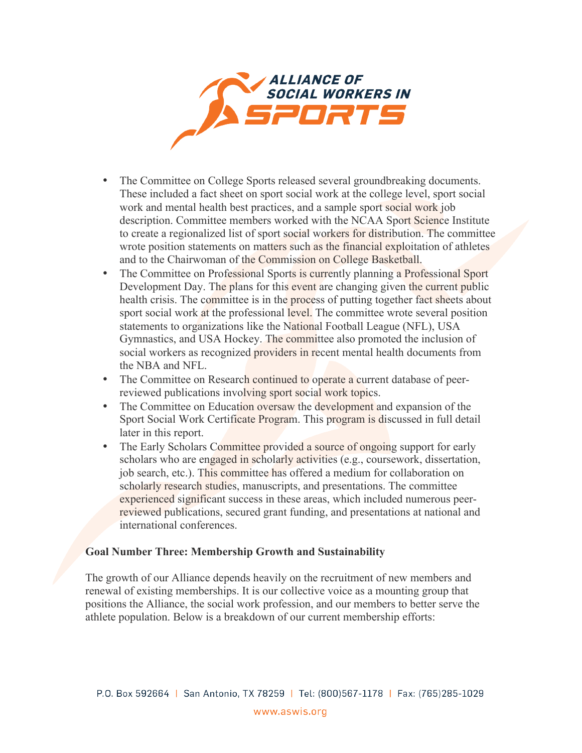

- The Committee on College Sports released several groundbreaking documents. These included a fact sheet on sport social work at the college level, sport social work and mental health best practices, and a sample sport social work job description. Committee members worked with the NCAA Sport Science Institute to create a regionalized list of sport social workers for distribution. The committee wrote position statements on matters such as the financial exploitation of athletes and to the Chairwoman of the Commission on College Basketball.
- The Committee on Professional Sports is currently planning a Professional Sport Development Day. The plans for this event are changing given the current public health crisis. The committee is in the process of putting together fact sheets about sport social work at the professional level. The committee wrote several position statements to organizations like the National Football League (NFL), USA Gymnastics, and USA Hockey. The committee also promoted the inclusion of social workers as recognized providers in recent mental health documents from the NBA and NFL.
- The Committee on Research continued to operate a current database of peerreviewed publications involving sport social work topics.
- The Committee on Education oversaw the development and expansion of the Sport Social Work Certificate Program. This program is discussed in full detail later in this report.
- The Early Scholars Committee provided a source of ongoing support for early scholars who are engaged in scholarly activities (e.g., coursework, dissertation, job search, etc.). This committee has offered a medium for collaboration on scholarly research studies, manuscripts, and presentations. The committee experienced significant success in these areas, which included numerous peerreviewed publications, secured grant funding, and presentations at national and international conferences.

## **Goal Number Three: Membership Growth and Sustainability**

The growth of our Alliance depends heavily on the recruitment of new members and renewal of existing memberships. It is our collective voice as a mounting group that positions the Alliance, the social work profession, and our members to better serve the athlete population. Below is a breakdown of our current membership efforts: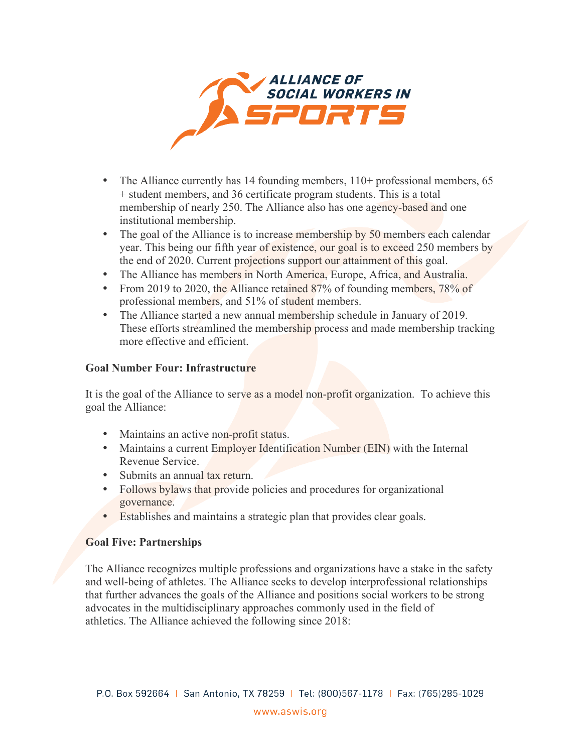

- The Alliance currently has 14 founding members, 110+ professional members, 65 + student members, and 36 certificate program students. This is a total membership of nearly 250. The Alliance also has one agency-based and one institutional membership.
- The goal of the Alliance is to increase membership by 50 members each calendar year. This being our fifth year of existence, our goal is to exceed 250 members by the end of 2020. Current projections support our attainment of this goal.
- The Alliance has members in North America, Europe, Africa, and Australia.
- From 2019 to 2020, the Alliance retained 87% of founding members, 78% of professional members, and 51% of student members.
- The Alliance started a new annual membership schedule in January of 2019. These efforts streamlined the membership process and made membership tracking more effective and efficient.

### **Goal Number Four: Infrastructure**

It is the goal of the Alliance to serve as a model non-profit organization. To achieve this goal the Alliance:

- Maintains an active non-profit status.
- Maintains a current Employer Identification Number (EIN) with the Internal Revenue Service.
- Submits an annual tax return.
- Follows bylaws that provide policies and procedures for organizational governance.
- Establishes and maintains a strategic plan that provides clear goals.

## **Goal Five: Partnerships**

The Alliance recognizes multiple professions and organizations have a stake in the safety and well-being of athletes. The Alliance seeks to develop interprofessional relationships that further advances the goals of the Alliance and positions social workers to be strong advocates in the multidisciplinary approaches commonly used in the field of athletics. The Alliance achieved the following since 2018: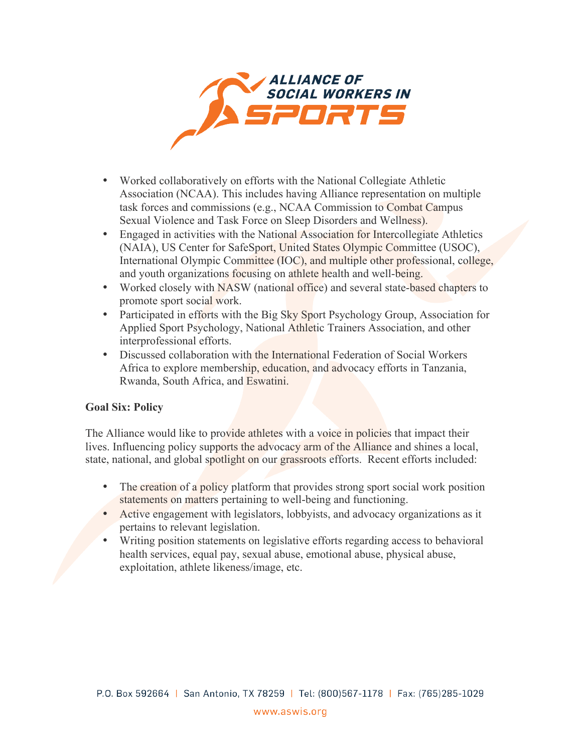

- Worked collaboratively on efforts with the National Collegiate Athletic Association (NCAA). This includes having Alliance representation on multiple task forces and commissions (e.g., NCAA Commission to Combat Campus Sexual Violence and Task Force on Sleep Disorders and Wellness).
- Engaged in activities with the National Association for Intercollegiate Athletics (NAIA), US Center for SafeSport, United States Olympic Committee (USOC), International Olympic Committee (IOC), and multiple other professional, college, and youth organizations focusing on athlete health and well-being.
- Worked closely with NASW (national office) and several state-based chapters to promote sport social work.
- Participated in efforts with the Big Sky Sport Psychology Group, Association for Applied Sport Psychology, National Athletic Trainers Association, and other interprofessional efforts.
- Discussed collaboration with the International Federation of Social Workers Africa to explore membership, education, and advocacy efforts in Tanzania, Rwanda, South Africa, and Eswatini.

# **Goal Six: Policy**

The Alliance would like to provide athletes with a voice in policies that impact their lives. Influencing policy supports the advocacy arm of the Alliance and shines a local, state, national, and global spotlight on our grassroots efforts. Recent efforts included:

- The creation of a policy platform that provides strong sport social work position statements on matters pertaining to well-being and functioning.
- Active engagement with legislators, lobbyists, and advocacy organizations as it pertains to relevant legislation.
- Writing position statements on legislative efforts regarding access to behavioral health services, equal pay, sexual abuse, emotional abuse, physical abuse, exploitation, athlete likeness/image, etc.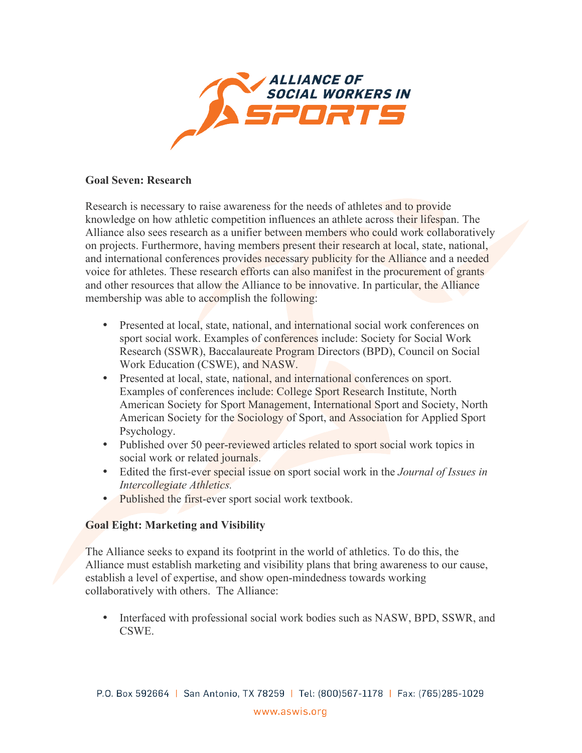

## **Goal Seven: Research**

Research is necessary to raise awareness for the needs of athletes and to provide knowledge on how athletic competition influences an athlete across their lifespan. The Alliance also sees research as a unifier between members who could work collaboratively on projects. Furthermore, having members present their research at local, state, national, and international conferences provides necessary publicity for the Alliance and a needed voice for athletes. These research efforts can also manifest in the procurement of grants and other resources that allow the Alliance to be innovative. In particular, the Alliance membership was able to accomplish the following:

- Presented at local, state, national, and international social work conferences on sport social work. Examples of conferences include: Society for Social Work Research (SSWR), Baccalaureate Program Directors (BPD), Council on Social Work Education (CSWE), and NASW.
- Presented at local, state, national, and international conferences on sport. Examples of conferences include: College Sport Research Institute, North American Society for Sport Management, International Sport and Society, North American Society for the Sociology of Sport, and Association for Applied Sport Psychology.
- Published over 50 peer-reviewed articles related to sport social work topics in social work or related journals.
- Edited the first-ever special issue on sport social work in the *Journal of Issues in Intercollegiate Athletics.*
- Published the first-ever sport social work textbook.

# **Goal Eight: Marketing and Visibility**

The Alliance seeks to expand its footprint in the world of athletics. To do this, the Alliance must establish marketing and visibility plans that bring awareness to our cause, establish a level of expertise, and show open-mindedness towards working collaboratively with others. The Alliance:

• Interfaced with professional social work bodies such as NASW, BPD, SSWR, and CSWE.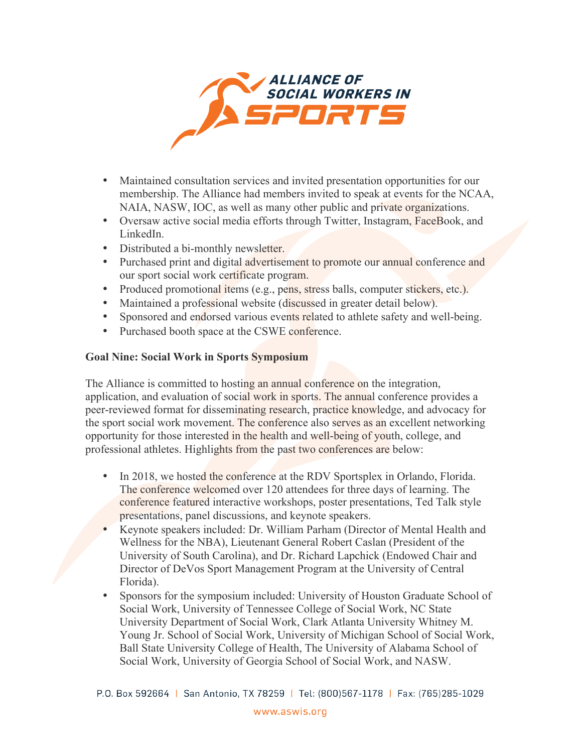

- Maintained consultation services and invited presentation opportunities for our membership. The Alliance had members invited to speak at events for the NCAA, NAIA, NASW, IOC, as well as many other public and private organizations.
- Oversaw active social media efforts through Twitter, Instagram, FaceBook, and LinkedIn.
- Distributed a bi-monthly newsletter.
- Purchased print and digital advertisement to promote our annual conference and our sport social work certificate program.
- Produced promotional items (e.g., pens, stress balls, computer stickers, etc.).
- Maintained a professional website (discussed in greater detail below).
- Sponsored and endorsed various events related to athlete safety and well-being.
- Purchased booth space at the CSWE conference.

#### **Goal Nine: Social Work in Sports Symposium**

The Alliance is committed to hosting an annual conference on the integration, application, and evaluation of social work in sports. The annual conference provides a peer-reviewed format for disseminating research, practice knowledge, and advocacy for the sport social work movement. The conference also serves as an excellent networking opportunity for those interested in the health and well-being of youth, college, and professional athletes. Highlights from the past two conferences are below:

- In 2018, we hosted the conference at the RDV Sportsplex in Orlando, Florida. The conference welcomed over 120 attendees for three days of learning. The conference featured interactive workshops, poster presentations, Ted Talk style presentations, panel discussions, and keynote speakers.
- Keynote speakers included: Dr. William Parham (Director of Mental Health and Wellness for the NBA), Lieutenant General Robert Caslan (President of the University of South Carolina), and Dr. Richard Lapchick (Endowed Chair and Director of DeVos Sport Management Program at the University of Central Florida).
- Sponsors for the symposium included: University of Houston Graduate School of Social Work, University of Tennessee College of Social Work, NC State University Department of Social Work, Clark Atlanta University Whitney M. Young Jr. School of Social Work, University of Michigan School of Social Work, Ball State University College of Health, The University of Alabama School of Social Work, University of Georgia School of Social Work, and NASW.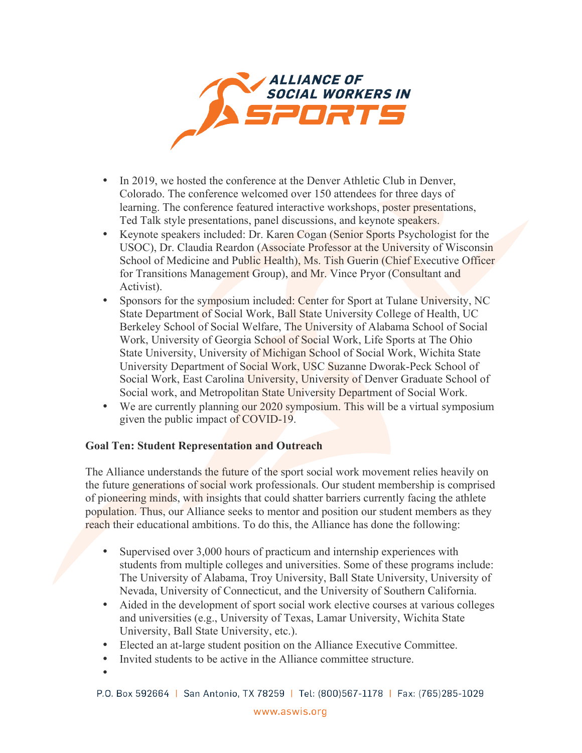

- In 2019, we hosted the conference at the Denver Athletic Club in Denver, Colorado. The conference welcomed over 150 attendees for three days of learning. The conference featured interactive workshops, poster presentations, Ted Talk style presentations, panel discussions, and keynote speakers.
- Keynote speakers included: Dr. Karen Cogan (Senior Sports Psychologist for the USOC), Dr. Claudia Reardon (Associate Professor at the University of Wisconsin School of Medicine and Public Health), Ms. Tish Guerin (Chief Executive Officer for Transitions Management Group), and Mr. Vince Pryor (Consultant and Activist).
- Sponsors for the symposium included: Center for Sport at Tulane University, NC State Department of Social Work, Ball State University College of Health, UC Berkeley School of Social Welfare, The University of Alabama School of Social Work, University of Georgia School of Social Work, Life Sports at The Ohio State University, University of Michigan School of Social Work, Wichita State University Department of Social Work, USC Suzanne Dworak-Peck School of Social Work, East Carolina University, University of Denver Graduate School of Social work, and Metropolitan State University Department of Social Work.
- We are currently planning our 2020 symposium. This will be a virtual symposium given the public impact of COVID-19.

## **Goal Ten: Student Representation and Outreach**

The Alliance understands the future of the sport social work movement relies heavily on the future generations of social work professionals. Our student membership is comprised of pioneering minds, with insights that could shatter barriers currently facing the athlete population. Thus, our Alliance seeks to mentor and position our student members as they reach their educational ambitions. To do this, the Alliance has done the following:

- Supervised over 3,000 hours of practicum and internship experiences with students from multiple colleges and universities. Some of these programs include: The University of Alabama, Troy University, Ball State University, University of Nevada, University of Connecticut, and the University of Southern California.
- Aided in the development of sport social work elective courses at various colleges and universities (e.g., University of Texas, Lamar University, Wichita State University, Ball State University, etc.).
- Elected an at-large student position on the Alliance Executive Committee.
- Invited students to be active in the Alliance committee structure.
- •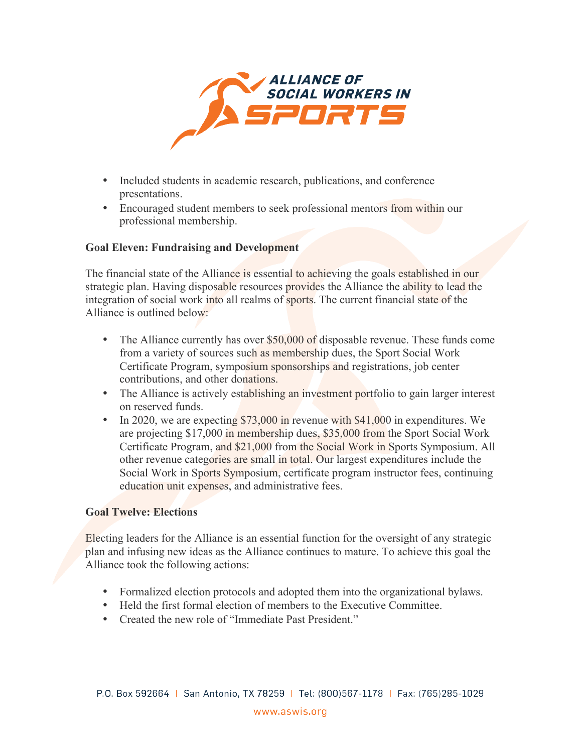

- Included students in academic research, publications, and conference presentations.
- Encouraged student members to seek professional mentors from within our professional membership.

## **Goal Eleven: Fundraising and Development**

The financial state of the Alliance is essential to achieving the goals established in our strategic plan. Having disposable resources provides the Alliance the ability to lead the integration of social work into all realms of sports. The current financial state of the Alliance is outlined below:

- The Alliance currently has over  $$50,000$  of disposable revenue. These funds come from a variety of sources such as membership dues, the Sport Social Work Certificate Program, symposium sponsorships and registrations, job center contributions, and other donations.
- The Alliance is actively establishing an investment portfolio to gain larger interest on reserved funds.
- In 2020, we are expecting \$73,000 in revenue with \$41,000 in expenditures. We are projecting \$17,000 in membership dues, \$35,000 from the Sport Social Work Certificate Program, and \$21,000 from the Social Work in Sports Symposium. All other revenue categories are small in total. Our largest expenditures include the Social Work in Sports Symposium, certificate program instructor fees, continuing education unit expenses, and administrative fees.

## **Goal Twelve: Elections**

Electing leaders for the Alliance is an essential function for the oversight of any strategic plan and infusing new ideas as the Alliance continues to mature. To achieve this goal the Alliance took the following actions:

- Formalized election protocols and adopted them into the organizational bylaws.
- Held the first formal election of members to the Executive Committee.
- Created the new role of "Immediate Past President."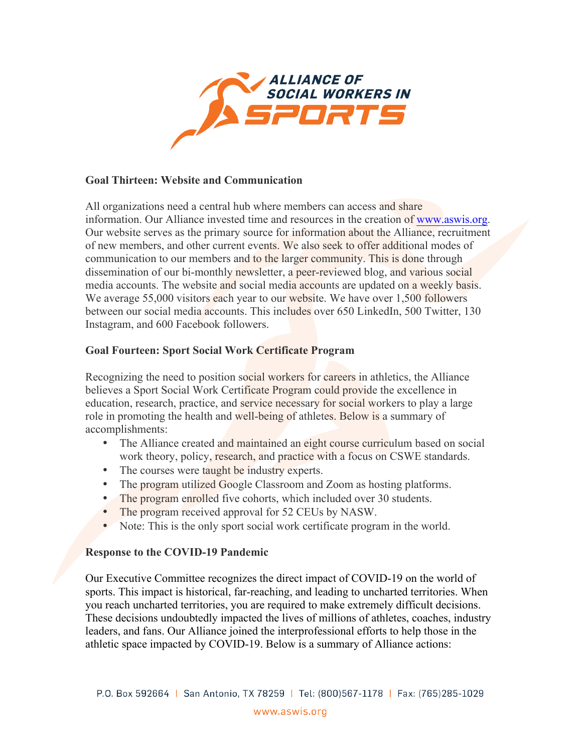

### **Goal Thirteen: Website and Communication**

All organizations need a central hub where members can access and share information. Our Alliance invested time and resources in the creation of [www.aswis.org](http://www.aswis.org). Our website serves as the primary source for information about the Alliance, recruitment of new members, and other current events. We also seek to offer additional modes of communication to our members and to the larger community. This is done through dissemination of our bi-monthly newsletter, a peer-reviewed blog, and various social media accounts. The website and social media accounts are updated on a weekly basis. We average 55,000 visitors each year to our website. We have over 1,500 followers between our social media accounts. This includes over 650 LinkedIn, 500 Twitter, 130 Instagram, and 600 Facebook followers.

#### **Goal Fourteen: Sport Social Work Certificate Program**

Recognizing the need to position social workers for careers in athletics, the Alliance believes a Sport Social Work Certificate Program could provide the excellence in education, research, practice, and service necessary for social workers to play a large role in promoting the health and well-being of athletes. Below is a summary of accomplishments:

- The Alliance created and maintained an eight course curriculum based on social work theory, policy, research, and practice with a focus on CSWE standards.
- The courses were taught be industry experts.
- The program utilized Google Classroom and Zoom as hosting platforms.
- The program enrolled five cohorts, which included over 30 students.
- The program received approval for 52 CEUs by NASW.
- Note: This is the only sport social work certificate program in the world.

#### **Response to the COVID-19 Pandemic**

Our Executive Committee recognizes the direct impact of COVID-19 on the world of sports. This impact is historical, far-reaching, and leading to uncharted territories. When you reach uncharted territories, you are required to make extremely difficult decisions. These decisions undoubtedly impacted the lives of millions of athletes, coaches, industry leaders, and fans. Our Alliance joined the interprofessional efforts to help those in the athletic space impacted by COVID-19. Below is a summary of Alliance actions: